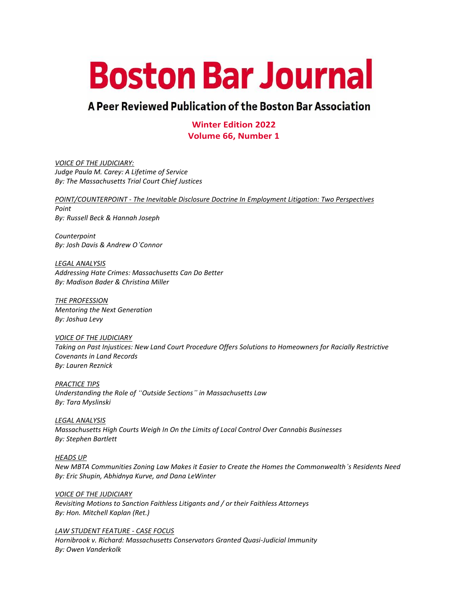# **Boston Bar Journal**

# A Peer Reviewed Publication of the Boston Bar Association

**Winter Edition 2022 Volume 66, Number 1**

*VOICE OF THE JUDICIARY: Judge Paula M. Carey: A Lifetime of Service By: The Massachusetts Trial Court Chief Justices*

*POINT/COUNTERPOINT - The Inevitable Disclosure Doctrine In Employment Litigation: Two Perspectives Point By: Russell Beck & Hannah Joseph*

*Counterpoint By: Josh Davis & Andrew O'Connor*

*LEGAL ANALYSIS Addressing Hate Crimes: Massachusetts Can Do Better By: Madison Bader & Christina Miller*

*THE PROFESSION Mentoring the Next Generation By: Joshua Levy*

*VOICE OF THE JUDICIARY Taking on Past Injustices: New Land Court Procedure Offers Solutions to Homeowners for Racially Restrictive Covenants in Land Records By: Lauren Reznick*

*PRACTICE TIPS Understanding the Role of "Outside Sections" in Massachusetts Law By: Tara Myslinski*

*LEGAL ANALYSIS Massachusetts High Courts Weigh In On the Limits of Local Control Over Cannabis Businesses By: Stephen Bartlett*

*HEADS UP New MBTA Communities Zoning Law Makes it Easier to Create the Homes the Commonwealth's Residents Need By: Eric Shupin, Abhidnya Kurve, and Dana LeWinter*

*VOICE OF THE JUDICIARY Revisiting Motions to Sanction Faithless Litigants and / or their Faithless Attorneys By: Hon. Mitchell Kaplan (Ret.)*

*LAW STUDENT FEATURE - CASE FOCUS Hornibrook v. Richard: Massachusetts Conservators Granted Quasi-Judicial Immunity By: Owen Vanderkolk*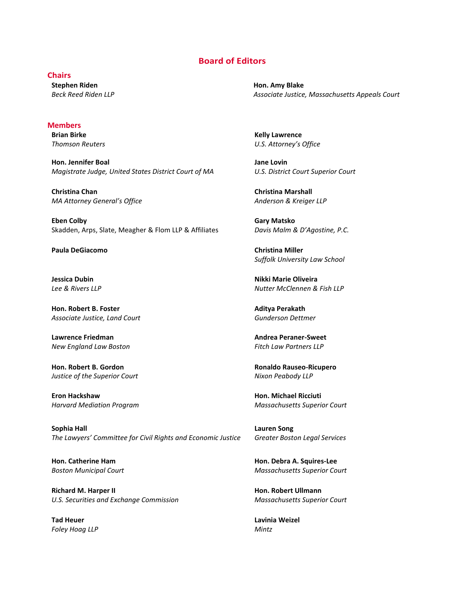#### **Board of Editors**

#### **Chairs**

**Stephen Riden** *Beck Reed Riden LLP*

#### **Members**

**Brian Birke** *Thomson Reuters*

**Hon. Jennifer Boal** *Magistrate Judge, United States District Court of MA*

**Christina Chan** *MA Attorney General's Office*

**Eben Colby** Skadden, Arps, Slate, Meagher & Flom LLP & Affiliates

**Paula DeGiacomo Christina Miller**

**Jessica Dubin** *Lee & Rivers LLP*

**Hon. Robert B. Foster** *Associate Justice, Land Court*

**Lawrence Friedman** *New England Law Boston*

**Hon. Robert B. Gordon** *Justice of the Superior Court*

**Eron Hackshaw** *Harvard Mediation Program*

**Sophia Hall** *The Lawyers' Committee for Civil Rights and Economic Justice*

**Hon. Catherine Ham** *Boston Municipal Court*

**Richard M. Harper II** *U.S. Securities and Exchange Commission*

**Tad Heuer** *Foley Hoag LLP*

**Hon. Amy Blake** *Associate Justice, Massachusetts Appeals Court*

**Kelly Lawrence** *U.S. Attorney's Office*

**Jane Lovin** *U.S. District Court Superior Court*

**Christina Marshall** *Anderson & Kreiger LLP*

**Gary Matsko** *Davis Malm & D'Agostine, P.C.*

*Suffolk University Law School*

**Nikki Marie Oliveira** *Nutter McClennen & Fish LLP*

**Aditya Perakath** *Gunderson Dettmer*

**Andrea Peraner-Sweet** *Fitch Law Partners LLP*

**Ronaldo Rauseo-Ricupero** *Nixon Peabody LLP*

**Hon. Michael Ricciuti** *Massachusetts Superior Court*

**Lauren Song** *Greater Boston Legal Services*

**Hon. Debra A. Squires-Lee** *Massachusetts Superior Court*

**Hon. Robert Ullmann** *Massachusetts Superior Court*

**Lavinia Weizel** *Mintz*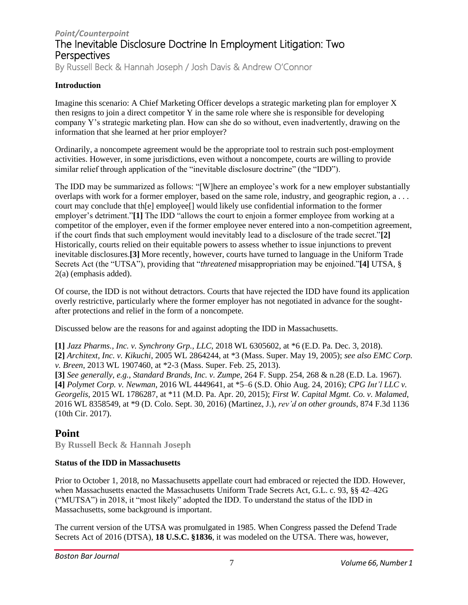## *Point/Counterpoint* The Inevitable Disclosure Doctrine In Employment Litigation: Two **Perspectives**

By Russell Beck & Hannah Joseph / Josh Davis & Andrew O'Connor

### **Introduction**

Imagine this scenario: A Chief Marketing Officer develops a strategic marketing plan for employer X then resigns to join a direct competitor Y in the same role where she is responsible for developing company Y's strategic marketing plan. How can she do so without, even inadvertently, drawing on the information that she learned at her prior employer?

Ordinarily, a noncompete agreement would be the appropriate tool to restrain such post-employment activities. However, in some jurisdictions, even without a noncompete, courts are willing to provide similar relief through application of the "inevitable disclosure doctrine" (the "IDD").

The IDD may be summarized as follows: "[W]here an employee's work for a new employer substantially overlaps with work for a former employer, based on the same role, industry, and geographic region, a . . . court may conclude that th[e] employee[] would likely use confidential information to the former employer's detriment."**[\[1\]](https://bostonbarjournal.com/?p=2879&preview=true#_ftn1)** The IDD "allows the court to enjoin a former employee from working at a competitor of the employer, even if the former employee never entered into a non-competition agreement, if the court finds that such employment would inevitably lead to a disclosure of the trade secret."**[\[2\]](https://bostonbarjournal.com/?p=2879&preview=true#_ftn2)** Historically, courts relied on their equitable powers to assess whether to issue injunctions to prevent inevitable disclosures.**[\[3\]](https://bostonbarjournal.com/?p=2879&preview=true#_ftn3)** More recently, however, courts have turned to language in the Uniform Trade Secrets Act (the "UTSA"), providing that "*threatened* misappropriation may be enjoined."**[\[4\]](https://bostonbarjournal.com/?p=2879&preview=true#_ftn4)** UTSA, § 2(a) (emphasis added).

Of course, the IDD is not without detractors. Courts that have rejected the IDD have found its application overly restrictive, particularly where the former employer has not negotiated in advance for the soughtafter protections and relief in the form of a noncompete.

Discussed below are the reasons for and against adopting the IDD in Massachusetts.

**[\[1\]](https://bostonbarjournal.com/?p=2879&preview=true#_ftnref1)** *Jazz Pharms., Inc. v. Synchrony Grp., LLC*, 2018 WL 6305602, at \*6 (E.D. Pa. Dec. 3, 2018). **[\[2\]](https://bostonbarjournal.com/?p=2879&preview=true#_ftnref2)** *Architext, Inc. v. Kikuchi*, 2005 WL 2864244, at \*3 (Mass. Super. May 19, 2005); *see also EMC Corp. v. Breen*, 2013 WL 1907460, at \*2-3 (Mass. Super. Feb. 25, 2013).

**[\[3\]](https://bostonbarjournal.com/?p=2879&preview=true#_ftnref3)** *See generally, e.g.*, *Standard Brands, Inc. v. Zumpe*, 264 F. Supp. 254, 268 & n.28 (E.D. La. 1967). **[\[4\]](https://bostonbarjournal.com/?p=2879&preview=true#_ftnref4)** *Polymet Corp. v. Newman*, 2016 WL 4449641, at \*5–6 (S.D. Ohio Aug. 24, 2016); *CPG Int'l LLC v. Georgelis*, 2015 WL 1786287, at \*11 (M.D. Pa. Apr. 20, 2015); *First W. Capital Mgmt. Co. v. Malamed*, 2016 WL 8358549, at \*9 (D. Colo. Sept. 30, 2016) (Martinez, J.), *rev'd on other grounds*, 874 F.3d 1136 (10th Cir. 2017).

## **Point**

**By Russell Beck & Hannah Joseph**

#### **Status of the IDD in Massachusetts**

Prior to October 1, 2018, no Massachusetts appellate court had embraced or rejected the IDD. However, when Massachusetts enacted the Massachusetts Uniform Trade Secrets Act, G.L. c. 93, §§ 42–42G ("MUTSA") in 2018, it "most likely" adopted the IDD. To understand the status of the IDD in Massachusetts, some background is important.

The current version of the UTSA was promulgated in 1985. When Congress passed the Defend Trade Secrets Act of 2016 (DTSA), **18 [U.S.C.](https://1.next.westlaw.com/Document/N8689FBD01BB111E6AB2490D3EDF0BC9F/View/FullText.html?transitionType=UniqueDocItem&contextData=(sc.Default)&userEnteredCitation=18+USCA+s+1836) §1836**, it was modeled on the UTSA. There was, however,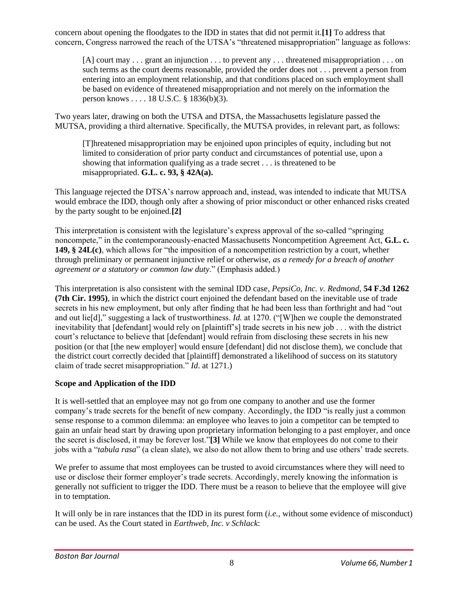concern about opening the floodgates to the IDD in states that did not permit it.**[\[1\]](https://bostonbarjournal.com/?p=2879&preview=true#_ftn1)** To address that concern, Congress narrowed the reach of the UTSA's "threatened misappropriation" language as follows:

[A] court may . . . grant an injunction . . . to prevent any . . . threatened misappropriation . . . on such terms as the court deems reasonable, provided the order does not . . . prevent a person from entering into an employment relationship, and that conditions placed on such employment shall be based on evidence of threatened misappropriation and not merely on the information the person knows . . . . 18 U.S.C. § 1836(b)(3).

Two years later, drawing on both the UTSA and DTSA, the Massachusetts legislature passed the MUTSA, providing a third alternative. Specifically, the MUTSA provides, in relevant part, as follows:

[T]hreatened misappropriation may be enjoined upon principles of equity, including but not limited to consideration of prior party conduct and circumstances of potential use, upon a showing that information qualifying as a trade secret . . . is threatened to be misappropriated. **G.L. c. 93, § [42A\(a\).](https://1.next.westlaw.com/Document/NC05252E0AD3611E88E09DFD96A5608B9/View/FullText.html?transitionType=UniqueDocItem&contextData=(sc.Default)&userEnteredCitation=MA+ST+c.93+s+42A)**

This language rejected the DTSA's narrow approach and, instead, was intended to indicate that MUTSA would embrace the IDD, though only after a showing of prior misconduct or other enhanced risks created by the party sought to be enjoined.**[\[2\]](https://bostonbarjournal.com/?p=2879&preview=true#_ftn2)**

This interpretation is consistent with the legislature's express approval of the so-called "springing noncompete," in the contemporaneously-enacted Massachusetts Noncompetition Agreement Act, **[G.L.](https://1.next.westlaw.com/Document/N769293B1664B11EBA1E2A1A55D13B4F5/View/FullText.html?transitionType=UniqueDocItem&contextData=(sc.Default)&userEnteredCitation=MA+ST+c.149+s+24L(c)) c. 149, § [24L\(c\)](https://1.next.westlaw.com/Document/N769293B1664B11EBA1E2A1A55D13B4F5/View/FullText.html?transitionType=UniqueDocItem&contextData=(sc.Default)&userEnteredCitation=MA+ST+c.149+s+24L(c))**, which allows for "the imposition of a noncompetition restriction by a court, whether through preliminary or permanent injunctive relief or otherwise, *as a remedy for a breach of another agreement or a statutory or common law duty*." (Emphasis added.)

This interpretation is also consistent with the seminal IDD case, *PepsiCo, Inc. v. Redmond*, **54 F.3d [1262](https://1.next.westlaw.com/Document/Iabab8496918611d993e6d35cc61aab4a/View/FullText.html?originationContext=typeAhead&transitionType=Default&contextData=(sc.Default)) (7th Cir. [1995\)](https://1.next.westlaw.com/Document/Iabab8496918611d993e6d35cc61aab4a/View/FullText.html?originationContext=typeAhead&transitionType=Default&contextData=(sc.Default))**, in which the district court enjoined the defendant based on the inevitable use of trade secrets in his new employment, but only after finding that he had been less than forthright and had "out and out lie[d]," suggesting a lack of trustworthiness. *Id.* at 1270. ("[W]hen we couple the demonstrated inevitability that [defendant] would rely on [plaintiff's] trade secrets in his new job . . . with the district court's reluctance to believe that [defendant] would refrain from disclosing these secrets in his new position (or that [the new employer] would ensure [defendant] did not disclose them), we conclude that the district court correctly decided that [plaintiff] demonstrated a likelihood of success on its statutory claim of trade secret misappropriation." *Id*. at 1271.)

## **Scope and Application of the IDD**

It is well-settled that an employee may not go from one company to another and use the former company's trade secrets for the benefit of new company. Accordingly, the IDD "is really just a common sense response to a common dilemma: an employee who leaves to join a competitor can be tempted to gain an unfair head start by drawing upon proprietary information belonging to a past employer, and once the secret is disclosed, it may be forever lost."**[\[3\]](https://bostonbarjournal.com/?p=2879&preview=true#_ftn3)** While we know that employees do not come to their jobs with a "*tabula rasa*" (a clean slate), we also do not allow them to bring and use others' trade secrets.

We prefer to assume that most employees can be trusted to avoid circumstances where they will need to use or disclose their former employer's trade secrets. Accordingly, merely knowing the information is generally not sufficient to trigger the IDD. There must be a reason to believe that the employee will give in to temptation.

It will only be in rare instances that the IDD in its purest form (*i.e.*, without some evidence of misconduct) can be used. As the Court stated in *Earthweb, Inc. v Schlack*: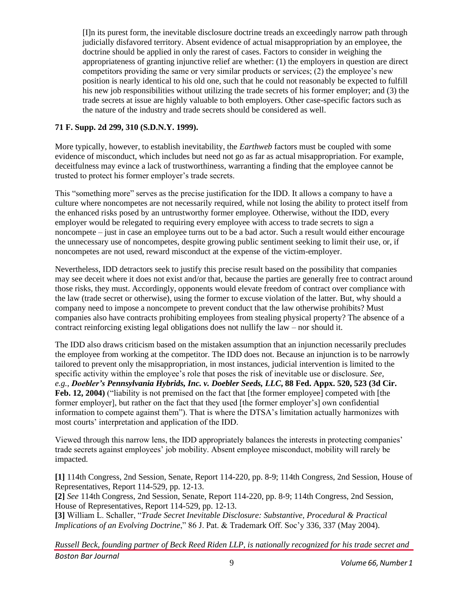[I]n its purest form, the inevitable disclosure doctrine treads an exceedingly narrow path through judicially disfavored territory. Absent evidence of actual misappropriation by an employee, the doctrine should be applied in only the rarest of cases. Factors to consider in weighing the appropriateness of granting injunctive relief are whether: (1) the employers in question are direct competitors providing the same or very similar products or services; (2) the employee's new position is nearly identical to his old one, such that he could not reasonably be expected to fulfill his new job responsibilities without utilizing the trade secrets of his former employer; and (3) the trade secrets at issue are highly valuable to both employers. Other case-specific factors such as the nature of the industry and trade secrets should be considered as well.

#### **71 F. Supp. 2d 299, 310 [\(S.D.N.Y.](https://1.next.westlaw.com/Document/I6210d553569011d997e0acd5cbb90d3f/View/FullText.html?transitionType=UniqueDocItem&contextData=(sc.Default)&userEnteredCitation=71+F.+Supp.+2d+299) 1999).**

More typically, however, to establish inevitability, the *Earthweb* factors must be coupled with some evidence of misconduct, which includes but need not go as far as actual misappropriation. For example, deceitfulness may evince a lack of trustworthiness, warranting a finding that the employee cannot be trusted to protect his former employer's trade secrets.

This "something more" serves as the precise justification for the IDD. It allows a company to have a culture where noncompetes are not necessarily required, while not losing the ability to protect itself from the enhanced risks posed by an untrustworthy former employee. Otherwise, without the IDD, every employer would be relegated to requiring every employee with access to trade secrets to sign a noncompete – just in case an employee turns out to be a bad actor. Such a result would either encourage the unnecessary use of noncompetes, despite growing public sentiment seeking to limit their use, or, if noncompetes are not used, reward misconduct at the expense of the victim-employer.

Nevertheless, IDD detractors seek to justify this precise result based on the possibility that companies may see deceit where it does not exist and/or that, because the parties are generally free to contract around those risks, they must. Accordingly, opponents would elevate freedom of contract over compliance with the law (trade secret or otherwise), using the former to excuse violation of the latter. But, why should a company need to impose a noncompete to prevent conduct that the law otherwise prohibits? Must companies also have contracts prohibiting employees from stealing physical property? The absence of a contract reinforcing existing legal obligations does not nullify the law – nor should it.

The IDD also draws criticism based on the mistaken assumption that an injunction necessarily precludes the employee from working at the competitor. The IDD does not. Because an injunction is to be narrowly tailored to prevent only the misappropriation, in most instances, judicial intervention is limited to the specific activity within the employee's role that poses the risk of inevitable use or disclosure. *See, e.g.*, *Doebler's [Pennsylvania](https://1.next.westlaw.com/Document/Id3abc4b189f611d9b6ea9f5a173c4523/View/FullText.html?transitionType=UniqueDocItem&contextData=(sc.UserEnteredCitation)&userEnteredCitation=88+Fed.+Appx+520) Hybrids, Inc. v. Doebler Seeds, LLC***, 88 Fed. Appx. 520, 523 (3d Cir. Feb. 12, [2004\)](https://1.next.westlaw.com/Document/Id3abc4b189f611d9b6ea9f5a173c4523/View/FullText.html?transitionType=UniqueDocItem&contextData=(sc.UserEnteredCitation)&userEnteredCitation=88+Fed.+Appx+520)** ("liability is not premised on the fact that [the former employee] competed with [the former employer], but rather on the fact that they used [the former employer's] own confidential information to compete against them"). That is where the DTSA's limitation actually harmonizes with most courts' interpretation and application of the IDD.

Viewed through this narrow lens, the IDD appropriately balances the interests in protecting companies' trade secrets against employees' job mobility. Absent employee misconduct, mobility will rarely be impacted.

**[\[1\]](https://bostonbarjournal.com/?p=2879&preview=true#_ftnref1)** 114th Congress, 2nd Session, Senate, Report 114-220, pp. 8-9; 114th Congress, 2nd Session, House of Representatives, Report 114-529, pp. 12-13.

**[\[2\]](https://bostonbarjournal.com/?p=2879&preview=true#_ftnref2)** *See* 114th Congress, 2nd Session, Senate, Report 114-220, pp. 8-9; 114th Congress, 2nd Session, House of Representatives, Report 114-529, pp. 12-13.

**[\[3\]](https://bostonbarjournal.com/?p=2879&preview=true#_ftnref3)** William L. Schaller, "*Trade Secret Inevitable Disclosure: Substantive, Procedural & Practical Implications of an Evolving Doctrine*," 86 J. Pat. & Trademark Off. Soc'y 336, 337 (May 2004).

*Boston Bar Journal Russell Beck, founding partner of Beck Reed Riden LLP, is nationally recognized for his trade secret and*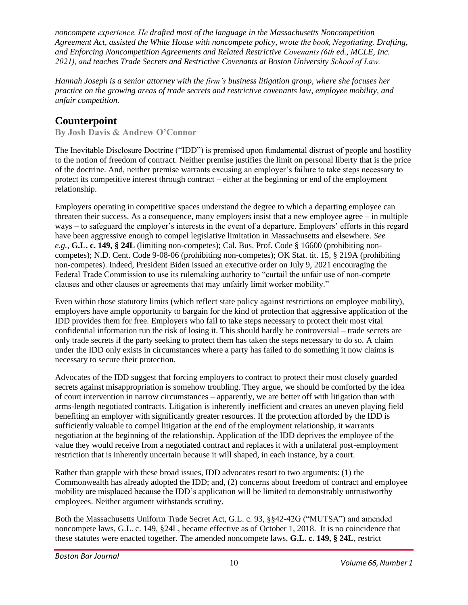*noncompete experience. He drafted most of the language in the Massachusetts Noncompetition Agreement Act, assisted the White House with noncompete policy, wrote the book, Negotiating, Drafting, and Enforcing Noncompetition Agreements and Related Restrictive Covenants (6th ed., MCLE, Inc. 2021), and teaches Trade Secrets and Restrictive Covenants at Boston University School of Law.*

*Hannah Joseph is a senior attorney with the firm's business litigation group, where she focuses her practice on the growing areas of trade secrets and restrictive covenants law, employee mobility, and unfair competition.*

## **Counterpoint**

**By Josh Davis & Andrew O'Connor**

The Inevitable Disclosure Doctrine ("IDD") is premised upon fundamental distrust of people and hostility to the notion of freedom of contract. Neither premise justifies the limit on personal liberty that is the price of the doctrine. And, neither premise warrants excusing an employer's failure to take steps necessary to protect its competitive interest through contract – either at the beginning or end of the employment relationship.

Employers operating in competitive spaces understand the degree to which a departing employee can threaten their success. As a consequence, many employers insist that a new employee agree  $-$  in multiple ways – to safeguard the employer's interests in the event of a departure. Employers' efforts in this regard have been aggressive enough to compel legislative limitation in Massachusetts and elsewhere. *See e.g.*, **[G.L.](https://1.next.westlaw.com/Document/N769293B1664B11EBA1E2A1A55D13B4F5/View/FullText.html?transitionType=UniqueDocItem&contextData=(sc.Default)&userEnteredCitation=MA+ST+c.+149+s+24L) c. 149, § 24L** (limiting non-competes); Cal. Bus. Prof. Code § 16600 (prohibiting noncompetes); N.D. Cent. Code 9-08-06 (prohibiting non-competes); OK Stat. tit. 15, § 219A (prohibiting non-competes). Indeed, President Biden issued an executive order on July 9, 2021 encouraging the Federal Trade Commission to use its rulemaking authority to "curtail the unfair use of non-compete clauses and other clauses or agreements that may unfairly limit worker mobility."

Even within those statutory limits (which reflect state policy against restrictions on employee mobility), employers have ample opportunity to bargain for the kind of protection that aggressive application of the IDD provides them for free. Employers who fail to take steps necessary to protect their most vital confidential information run the risk of losing it. This should hardly be controversial – trade secrets are only trade secrets if the party seeking to protect them has taken the steps necessary to do so. A claim under the IDD only exists in circumstances where a party has failed to do something it now claims is necessary to secure their protection.

Advocates of the IDD suggest that forcing employers to contract to protect their most closely guarded secrets against misappropriation is somehow troubling. They argue, we should be comforted by the idea of court intervention in narrow circumstances – apparently, we are better off with litigation than with arms-length negotiated contracts. Litigation is inherently inefficient and creates an uneven playing field benefiting an employer with significantly greater resources. If the protection afforded by the IDD is sufficiently valuable to compel litigation at the end of the employment relationship, it warrants negotiation at the beginning of the relationship. Application of the IDD deprives the employee of the value they would receive from a negotiated contract and replaces it with a unilateral post-employment restriction that is inherently uncertain because it will shaped, in each instance, by a court.

Rather than grapple with these broad issues, IDD advocates resort to two arguments: (1) the Commonwealth has already adopted the IDD; and, (2) concerns about freedom of contract and employee mobility are misplaced because the IDD's application will be limited to demonstrably untrustworthy employees. Neither argument withstands scrutiny.

Both the Massachusetts Uniform Trade Secret Act, G.L. c. 93, §§42-42G ("MUTSA") and amended noncompete laws, G.L. c. 149, §24L, became effective as of October 1, 2018. It is no coincidence that these statutes were enacted together. The amended noncompete laws, **[G.L.](https://1.next.westlaw.com/Document/N769293B1664B11EBA1E2A1A55D13B4F5/View/FullText.html?transitionType=UniqueDocItem&contextData=(sc.Default)&userEnteredCitation=MA+ST+c.+149+s+24L) c. 149, § 24L**, restrict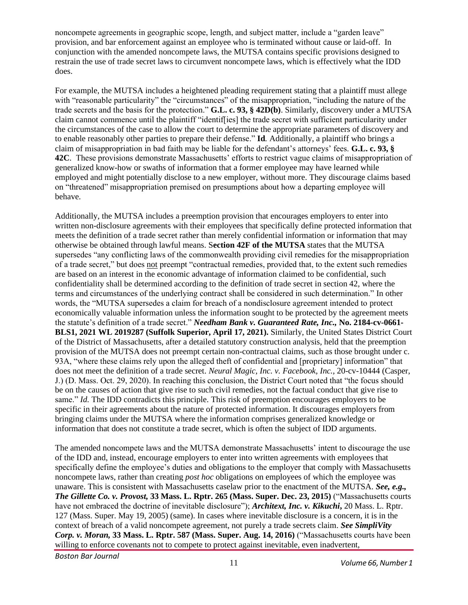noncompete agreements in geographic scope, length, and subject matter, include a "garden leave" provision, and bar enforcement against an employee who is terminated without cause or laid-off. In conjunction with the amended noncompete laws, the MUTSA contains specific provisions designed to restrain the use of trade secret laws to circumvent noncompete laws, which is effectively what the IDD does.

For example, the MUTSA includes a heightened pleading requirement stating that a plaintiff must allege with "reasonable particularity" the "circumstances" of the misappropriation, "including the nature of the trade secrets and the basis for the protection." **G.L. c. 93, § [42D\(b\)](https://1.next.westlaw.com/Document/NDA901260AD3F11E8AEE1CF856FA93907/View/FullText.html?transitionType=UniqueDocItem&contextData=(sc.Default)&userEnteredCitation=MA+ST+c.+93+s+42D)**. Similarly, discovery under a MUTSA claim cannot commence until the plaintiff "identif[ies] the trade secret with sufficient particularity under the circumstances of the case to allow the court to determine the appropriate parameters of discovery and to enable reasonably other parties to prepare their defense." **[Id](https://1.next.westlaw.com/Document/NDA901260AD3F11E8AEE1CF856FA93907/View/FullText.html?transitionType=UniqueDocItem&contextData=(sc.Default)&userEnteredCitation=MA+ST+c.+93+s+42D)***.* Additionally, a plaintiff who brings a claim of misappropriation in bad faith may be liable for the defendant's attorneys' fees. **[G.L.](https://1.next.westlaw.com/Document/NDB924020AD3F11E8BF9FA90A2CC5537E/View/FullText.html?originationContext=previousnextsection&contextData=(sc.UserEnteredCitation)&transitionType=StatuteNavigator&needToInjectTerms=False&ppcid=782ccd7cb2fe4e0abb83973857f4edd1) c. 93, § [42C](https://1.next.westlaw.com/Document/NDB924020AD3F11E8BF9FA90A2CC5537E/View/FullText.html?originationContext=previousnextsection&contextData=(sc.UserEnteredCitation)&transitionType=StatuteNavigator&needToInjectTerms=False&ppcid=782ccd7cb2fe4e0abb83973857f4edd1)**. These provisions demonstrate Massachusetts' efforts to restrict vague claims of misappropriation of generalized know-how or swaths of information that a former employee may have learned while employed and might potentially disclose to a new employer, without more. They discourage claims based on "threatened" misappropriation premised on presumptions about how a departing employee will behave.

Additionally, the MUTSA includes a preemption provision that encourages employers to enter into written non-disclosure agreements with their employees that specifically define protected information that meets the definition of a trade secret rather than merely confidential information or information that may otherwise be obtained through lawful means. S**ection 42F of the [MUTSA](https://1.next.westlaw.com/Document/ND7B4B7D0AD3F11E8BF9FA90A2CC5537E/View/FullText.html?originationContext=previousnextsection&contextData=(sc.Document)&transitionType=StatuteNavigator&needToInjectTerms=False&ppcid=7efe588501214f91a9a74d1b1e3c3746)** states that the MUTSA supersedes "any conflicting laws of the commonwealth providing civil remedies for the misappropriation of a trade secret," but does not preempt "contractual remedies, provided that, to the extent such remedies are based on an interest in the economic advantage of information claimed to be confidential, such confidentiality shall be determined according to the definition of trade secret in section 42, where the terms and circumstances of the underlying contract shall be considered in such determination." In other words, the "MUTSA supersedes a claim for breach of a nondisclosure agreement intended to protect economically valuable information unless the information sought to be protected by the agreement meets the statute's definition of a trade secret." *Needham Bank v. Guaranteed Rate, Inc.,* **No. [2184-cv-0661-](https://1.next.westlaw.com/Document/Ie77be0e0ba1f11eb9379f12dace6abd9/View/FullText.html?originationContext=typeAhead&transitionType=Default&contextData=(sc.Default)) BLS1, 2021 WL 2019287 (Suffolk [Superior,](https://1.next.westlaw.com/Document/Ie77be0e0ba1f11eb9379f12dace6abd9/View/FullText.html?originationContext=typeAhead&transitionType=Default&contextData=(sc.Default)) April 17, 2021).** Similarly, the United States District Court of the District of Massachusetts, after a detailed statutory construction analysis, held that the preemption provision of the MUTSA does not preempt certain non-contractual claims, such as those brought under c. 93A, "where these claims rely upon the alleged theft of confidential and [proprietary] information" that does not meet the definition of a trade secret. *Neural Magic, Inc. v. Facebook, Inc.*, 20-cv-10444 (Casper, J.) (D. Mass. Oct. 29, 2020). In reaching this conclusion, the District Court noted that "the focus should be on the causes of action that give rise to such civil remedies, not the factual conduct that give rise to same." *Id.* The IDD contradicts this principle. This risk of preemption encourages employers to be specific in their agreements about the nature of protected information. It discourages employers from bringing claims under the MUTSA where the information comprises generalized knowledge or information that does not constitute a trade secret, which is often the subject of IDD arguments.

The amended noncompete laws and the MUTSA demonstrate Massachusetts' intent to discourage the use of the IDD and, instead, encourage employers to enter into written agreements with employees that specifically define the employee's duties and obligations to the employer that comply with Massachusetts noncompete laws, rather than creating *post hoc* obligations on employees of which the employee was unaware. This is consistent with Massachusetts caselaw prior to the enactment of the MUTSA. *[See,](https://1.next.westlaw.com/Document/I3891f62ee0aa11e590d4edf60ce7d742/View/FullText.html?navigationPath=Search%2Fv1%2Fresults%2Fnavigation%2Fi0ad740360000017e88ea5d1ee5d416c1%3Fppcid%3D584299b8c9314d83a0205de84f90ab0c%26Nav%3DCASE%26fragmentIdentifier%3DI3891f62ee0aa11e590d4edf60ce7d742%26parentRank%3D0%26startIndex%3D1%26contextData%3D%2528sc.Search%2529%26transitionType%3DSearchItem&listSource=Search&listPageSource=28420814aeda47f89b65fd2259044f6e&list=CASE&rank=16&sessionScopeId=13d4f2d1d9dcb9e24fc35f9da34f4a08475d3bf224c687938eb678fa20ede3c5&ppcid=584299b8c9314d83a0205de84f90ab0c&originationContext=Smart%20Answer&transitionType=SearchItem&contextData=%28sc.Search%29) e.g., The Gillette Co. v. [Provost,](https://1.next.westlaw.com/Document/I3891f62ee0aa11e590d4edf60ce7d742/View/FullText.html?navigationPath=Search%2Fv1%2Fresults%2Fnavigation%2Fi0ad740360000017e88ea5d1ee5d416c1%3Fppcid%3D584299b8c9314d83a0205de84f90ab0c%26Nav%3DCASE%26fragmentIdentifier%3DI3891f62ee0aa11e590d4edf60ce7d742%26parentRank%3D0%26startIndex%3D1%26contextData%3D%2528sc.Search%2529%26transitionType%3DSearchItem&listSource=Search&listPageSource=28420814aeda47f89b65fd2259044f6e&list=CASE&rank=16&sessionScopeId=13d4f2d1d9dcb9e24fc35f9da34f4a08475d3bf224c687938eb678fa20ede3c5&ppcid=584299b8c9314d83a0205de84f90ab0c&originationContext=Smart%20Answer&transitionType=SearchItem&contextData=%28sc.Search%29)* **33 Mass. L. Rptr. 265 (Mass. Super. Dec. 23, 2015)** ("Massachusetts courts have not embraced the doctrine of inevitable disclosure"); *[Architext,](https://1.next.westlaw.com/Document/I0d315de14bd411da8cc9b4c14e983401/View/FullText.html?originationContext=typeAhead&transitionType=Default&contextData=(sc.Default)) Inc. v. Kikuchi***,** 20 Mass. L. Rptr. 127 (Mass. Super. May 19, 2005) (same). In cases where inevitable disclosure is a concern, it is in the context of breach of a valid noncompete agreement, not purely a trade secrets claim. *See [SimpliVity](https://1.next.westlaw.com/Document/I66cfeedd808f11e6a795ac035416da91/View/FullText.html?originationContext=typeAhead&transitionType=Default&contextData=(sc.Default)) Corp. v. [Moran,](https://1.next.westlaw.com/Document/I66cfeedd808f11e6a795ac035416da91/View/FullText.html?originationContext=typeAhead&transitionType=Default&contextData=(sc.Default))* **33 Mass. L. Rptr. 587 (Mass. Super. Aug. 14, 2016)** ("Massachusetts courts have been willing to enforce covenants not to compete to protect against inevitable, even inadvertent,

*Boston Bar Journal*